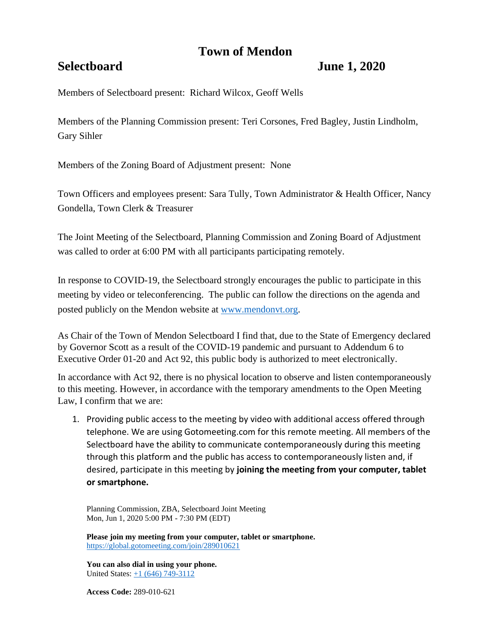# **Town of Mendon**

## **Selectboard June 1, 2020**

Members of Selectboard present: Richard Wilcox, Geoff Wells

Members of the Planning Commission present: Teri Corsones, Fred Bagley, Justin Lindholm, Gary Sihler

Members of the Zoning Board of Adjustment present: None

Town Officers and employees present: Sara Tully, Town Administrator & Health Officer, Nancy Gondella, Town Clerk & Treasurer

The Joint Meeting of the Selectboard, Planning Commission and Zoning Board of Adjustment was called to order at 6:00 PM with all participants participating remotely.

In response to COVID-19, the Selectboard strongly encourages the public to participate in this meeting by video or teleconferencing. The public can follow the directions on the agenda and posted publicly on the Mendon website at [www.mendonvt.org.](http://www.mendonvt.org/)

As Chair of the Town of Mendon Selectboard I find that, due to the State of Emergency declared by Governor Scott as a result of the COVID-19 pandemic and pursuant to Addendum 6 to Executive Order 01-20 and Act 92, this public body is authorized to meet electronically.

In accordance with Act 92, there is no physical location to observe and listen contemporaneously to this meeting. However, in accordance with the temporary amendments to the Open Meeting Law, I confirm that we are:

1. Providing public access to the meeting by video with additional access offered through telephone. We are using Gotomeeting.com for this remote meeting. All members of the Selectboard have the ability to communicate contemporaneously during this meeting through this platform and the public has access to contemporaneously listen and, if desired, participate in this meeting by **joining the meeting from your computer, tablet or smartphone.** 

Planning Commission, ZBA, Selectboard Joint Meeting Mon, Jun 1, 2020 5:00 PM - 7:30 PM (EDT)

**Please join my meeting from your computer, tablet or smartphone.**  <https://global.gotomeeting.com/join/289010621>

**You can also dial in using your phone.**  United States: [+1 \(646\) 749-3112](tel:+16467493112,,289010621)

**Access Code:** 289-010-621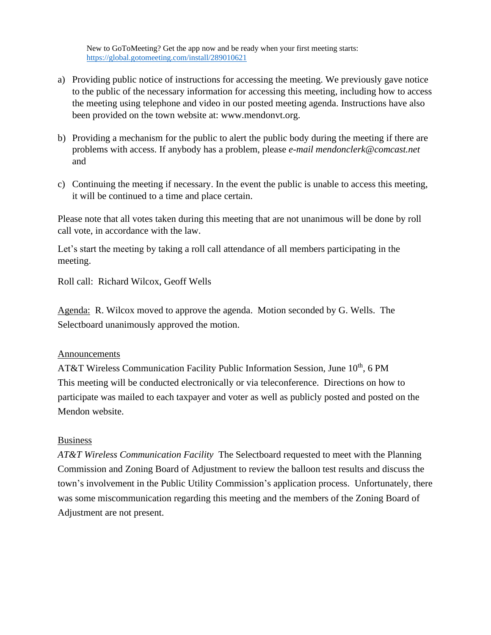New to GoToMeeting? Get the app now and be ready when your first meeting starts: <https://global.gotomeeting.com/install/289010621>

- a) Providing public notice of instructions for accessing the meeting. We previously gave notice to the public of the necessary information for accessing this meeting, including how to access the meeting using telephone and video in our posted meeting agenda. Instructions have also been provided on the town website at: www.mendonvt.org.
- b) Providing a mechanism for the public to alert the public body during the meeting if there are problems with access. If anybody has a problem, please *e-mail mendonclerk@comcast.net* and
- c) Continuing the meeting if necessary. In the event the public is unable to access this meeting, it will be continued to a time and place certain.

Please note that all votes taken during this meeting that are not unanimous will be done by roll call vote, in accordance with the law.

Let's start the meeting by taking a roll call attendance of all members participating in the meeting.

Roll call: Richard Wilcox, Geoff Wells

Agenda: R. Wilcox moved to approve the agenda. Motion seconded by G. Wells. The Selectboard unanimously approved the motion.

## Announcements

AT&T Wireless Communication Facility Public Information Session, June 10<sup>th</sup>, 6 PM This meeting will be conducted electronically or via teleconference. Directions on how to participate was mailed to each taxpayer and voter as well as publicly posted and posted on the Mendon website.

### Business

*AT&T Wireless Communication Facility* The Selectboard requested to meet with the Planning Commission and Zoning Board of Adjustment to review the balloon test results and discuss the town's involvement in the Public Utility Commission's application process. Unfortunately, there was some miscommunication regarding this meeting and the members of the Zoning Board of Adjustment are not present.